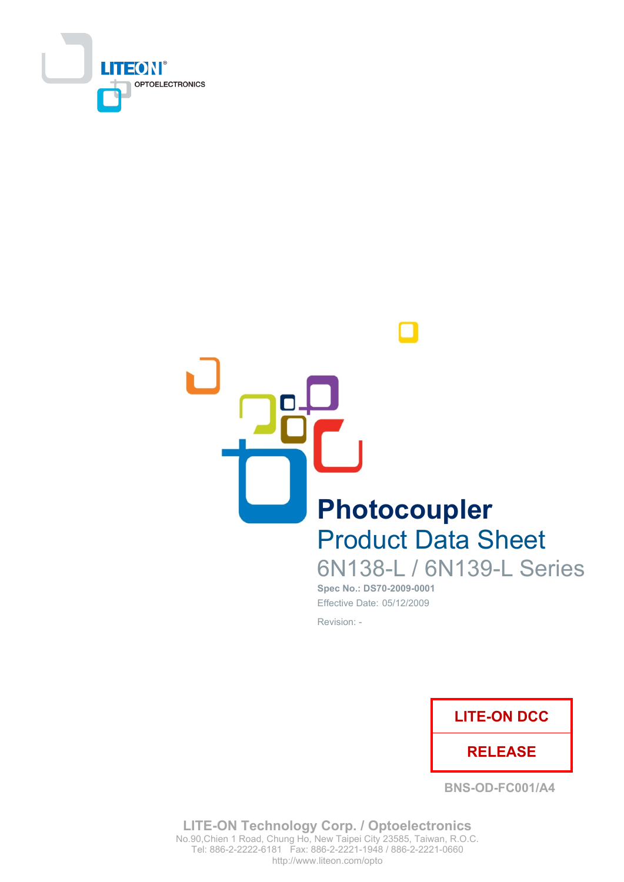



# **Product Data Sheet** 6N138-L / 6N139-L Series

Spec No.: DS70-2009-0001 Effective Date: 05/12/2009 Revision: -



**BNS-OD-FC001/A4** 

**LITE-ON Technology Corp. / Optoelectronics** No.90, Chien 1 Road, Chung Ho, New Taipei City 23585, Taiwan, R.O.C. Tel: 886-2-2222-6181 Fax: 886-2-2221-1948 / 886-2-2221-0660 http://www.liteon.com/opto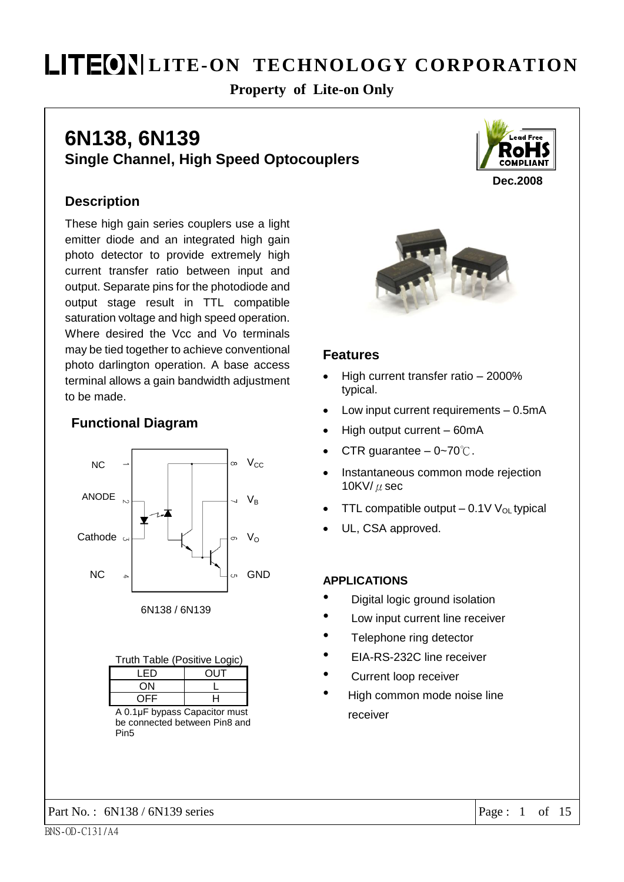### **Property of Lite-on Only**

### 6N138, 6N139 **Single Channel, High Speed Optocouplers**



#### **Description**

These high gain series couplers use a light emitter diode and an integrated high gain photo detector to provide extremely high current transfer ratio between input and output. Separate pins for the photodiode and output stage result in TTL compatible saturation voltage and high speed operation. Where desired the Vcc and Vo terminals may be tied together to achieve conventional photo darlington operation. A base access terminal allows a gain bandwidth adjustment to be made.

#### **Functional Diagram**





| Truth Table (Positive Logic) |     |  |  |  |  |
|------------------------------|-----|--|--|--|--|
| I FD                         | OUT |  |  |  |  |
| ΩN                           |     |  |  |  |  |
| ⊢∟                           |     |  |  |  |  |

A 0.1µF bypass Capacitor must be connected between Pin8 and Pin<sub>5</sub>



#### **Features**

- High current transfer ratio 2000% typical.
- Low input current requirements 0.5mA
- High output current 60mA
- CTR guarantee  $-0\n-70^{\circ}\text{C}$ .
- Instantaneous common mode rejection 10KV/ $\mu$  sec
- TTL compatible output  $-0.1V V_{OL}$  typical
- UL, CSA approved.

#### **APPLICATIONS**

- Digital logic ground isolation
- $\bullet$ Low input current line receiver
- $\bullet$ Telephone ring detector
- $\bullet$ EIA-RS-232C line receiver
- Current loop receiver
- $\bullet$ High common mode noise line receiver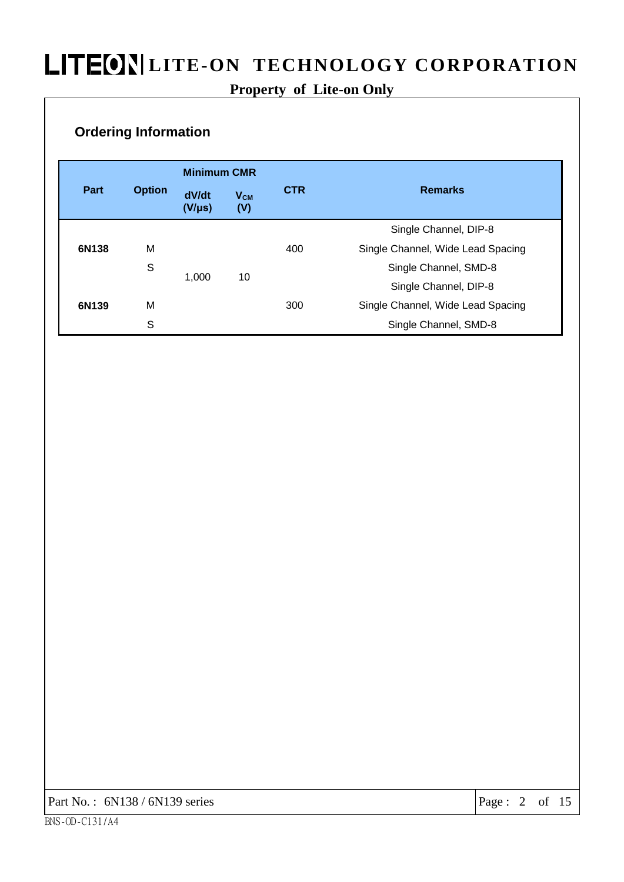### Property of Lite-on Only

#### **Ordering Information**

|                                                                  |   | <b>Minimum CMR</b> |                |     |                                   |  |  |
|------------------------------------------------------------------|---|--------------------|----------------|-----|-----------------------------------|--|--|
| Part<br><b>Option</b><br>dV/dt<br>$V_{CM}$<br>$(V/\mu s)$<br>(V) |   | <b>CTR</b>         | <b>Remarks</b> |     |                                   |  |  |
|                                                                  |   |                    |                |     | Single Channel, DIP-8             |  |  |
| 6N138                                                            | M |                    |                | 400 | Single Channel, Wide Lead Spacing |  |  |
|                                                                  | S |                    |                |     | Single Channel, SMD-8             |  |  |
|                                                                  |   | 1,000              | 10             |     | Single Channel, DIP-8             |  |  |
| 6N139                                                            | M |                    |                | 300 | Single Channel, Wide Lead Spacing |  |  |
|                                                                  | S |                    |                |     | Single Channel, SMD-8             |  |  |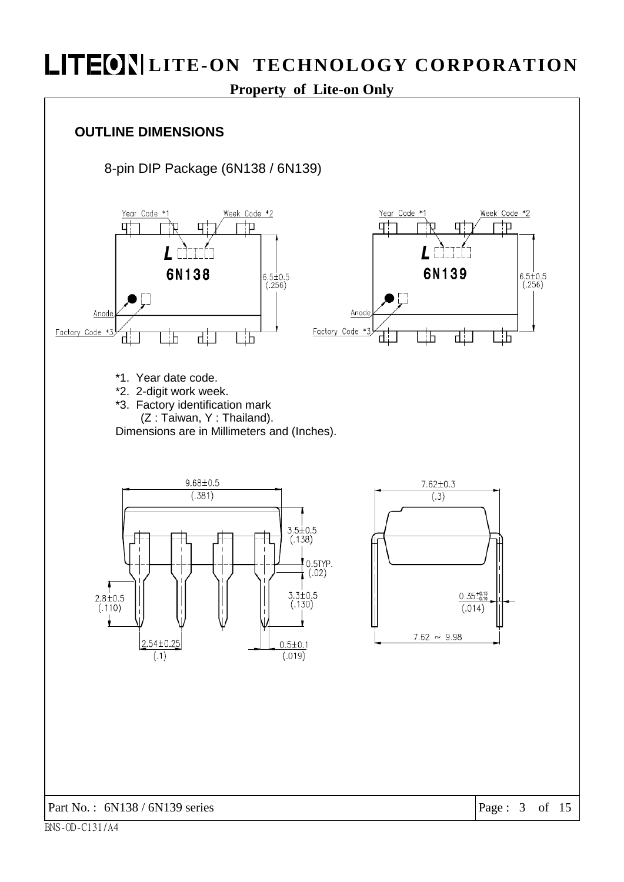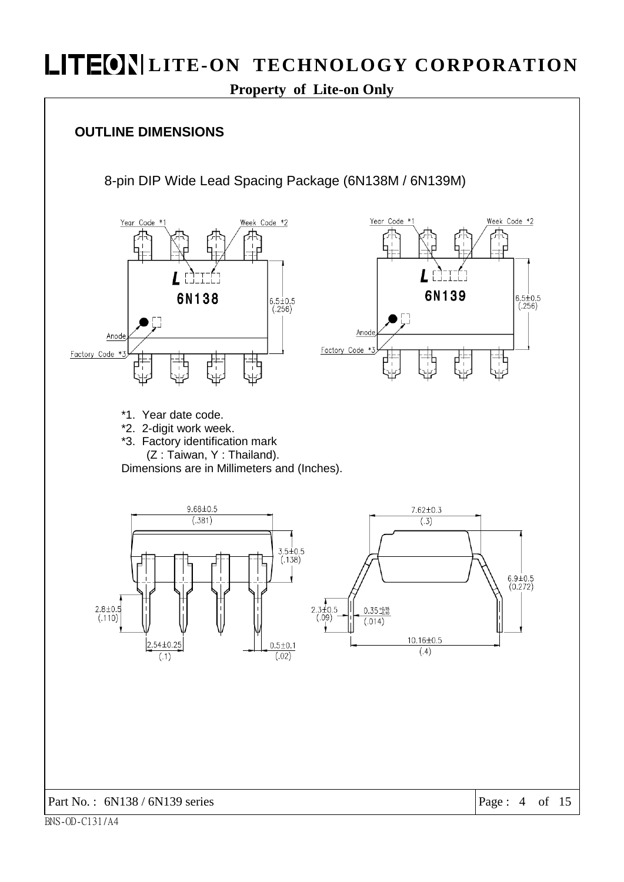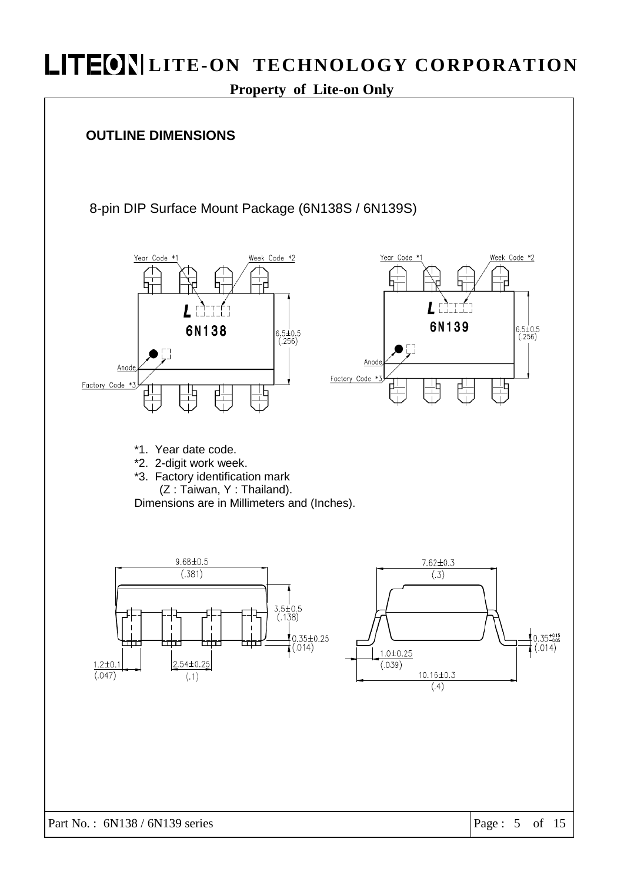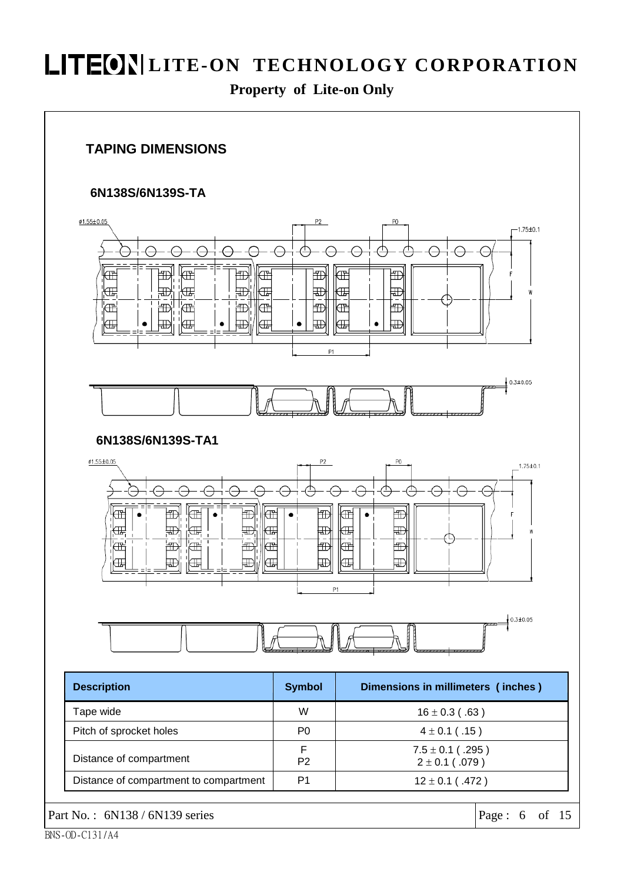



#### 6N138S/6N139S-TA







| <b>Description</b>                     | <b>Symbol</b>  | Dimensions in millimeters (inches)         |
|----------------------------------------|----------------|--------------------------------------------|
| Tape wide                              | W              | $16 \pm 0.3$ (.63)                         |
| Pitch of sprocket holes                | P <sub>0</sub> | $4 \pm 0.1$ (.15)                          |
| Distance of compartment                | P <sub>2</sub> | $7.5 \pm 0.1$ (.295)<br>$2 \pm 0.1$ (.079) |
| Distance of compartment to compartment | P1             | $12 \pm 0.1$ (.472)                        |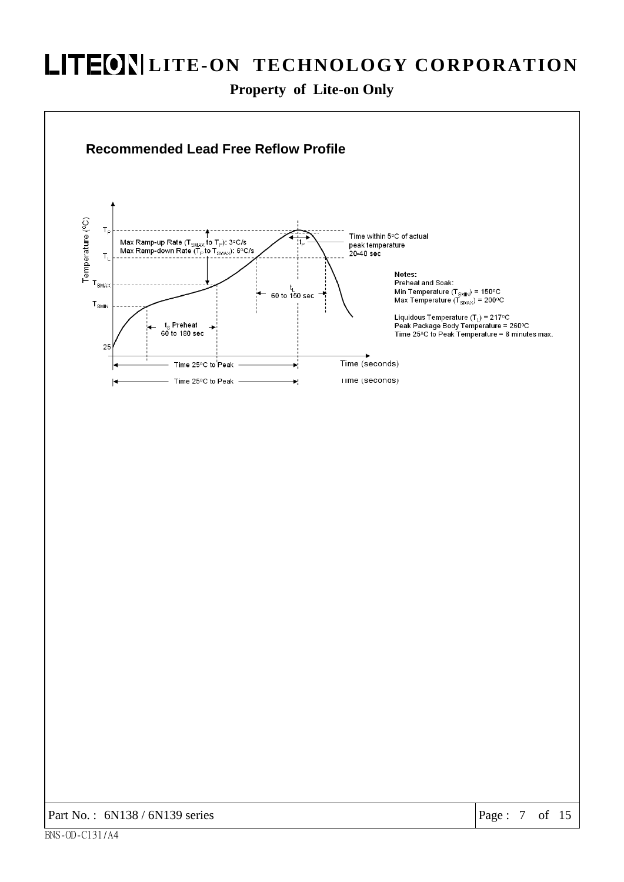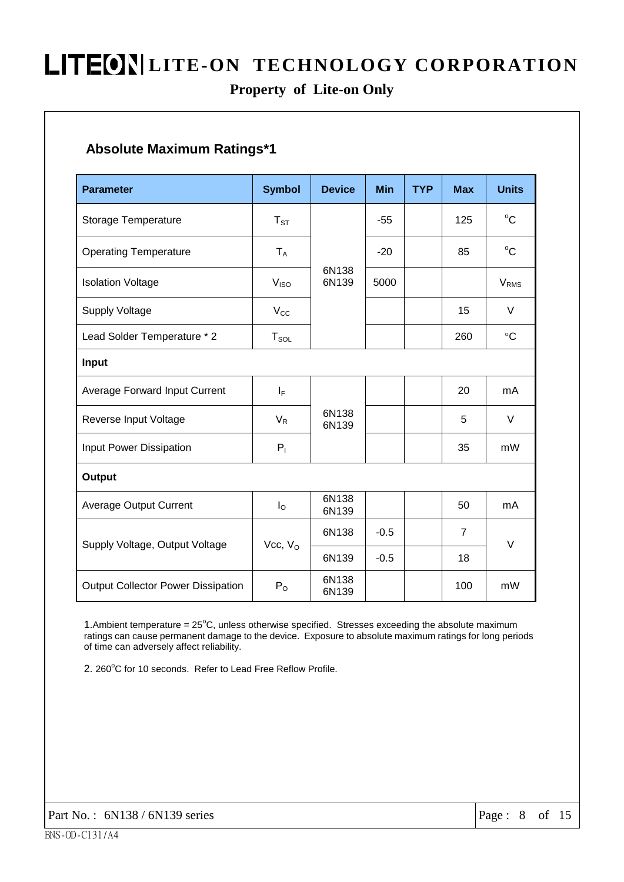### Property of Lite-on Only

### **Absolute Maximum Ratings\*1**

| <b>Parameter</b>                          | <b>Symbol</b>    | <b>Device</b>  | Min    | <b>TYP</b> | <b>Max</b>     | <b>Units</b>     |  |  |  |  |
|-------------------------------------------|------------------|----------------|--------|------------|----------------|------------------|--|--|--|--|
| Storage Temperature                       | $T_{ST}$         |                | $-55$  |            | 125            | $^{\circ}C$      |  |  |  |  |
| <b>Operating Temperature</b>              | $T_A$            |                | $-20$  |            | 85             | $^{\circ}C$      |  |  |  |  |
| <b>Isolation Voltage</b>                  | V <sub>ISO</sub> | 6N138<br>6N139 |        |            |                | V <sub>RMS</sub> |  |  |  |  |
| <b>Supply Voltage</b>                     | $V_{\rm CC}$     |                |        |            | 15             | $\vee$           |  |  |  |  |
| Lead Solder Temperature * 2               | $T_{SOL}$        |                |        |            | 260            | $\rm ^{\circ}C$  |  |  |  |  |
| Input                                     |                  |                |        |            |                |                  |  |  |  |  |
| Average Forward Input Current             | $I_F$            |                |        |            | 20             | mA               |  |  |  |  |
| Reverse Input Voltage                     | $V_R$            | 6N138<br>6N139 |        |            | 5              | V                |  |  |  |  |
| Input Power Dissipation                   | $P_1$            |                |        |            | 35             | mW               |  |  |  |  |
| Output                                    |                  |                |        |            |                |                  |  |  |  |  |
| <b>Average Output Current</b>             | $I_{\rm O}$      | 6N138<br>6N139 |        |            | 50             | mA               |  |  |  |  |
|                                           | Vcc, $V_{O}$     | 6N138          | $-0.5$ |            | $\overline{7}$ | V                |  |  |  |  |
| Supply Voltage, Output Voltage            |                  | 6N139          | $-0.5$ |            | 18             |                  |  |  |  |  |
| <b>Output Collector Power Dissipation</b> | $P_{O}$          | 6N138<br>6N139 |        |            | 100            | mW               |  |  |  |  |

1. Ambient temperature = 25°C, unless otherwise specified. Stresses exceeding the absolute maximum ratings can cause permanent damage to the device. Exposure to absolute maximum ratings for long periods of time can adversely affect reliability.

2. 260°C for 10 seconds. Refer to Lead Free Reflow Profile.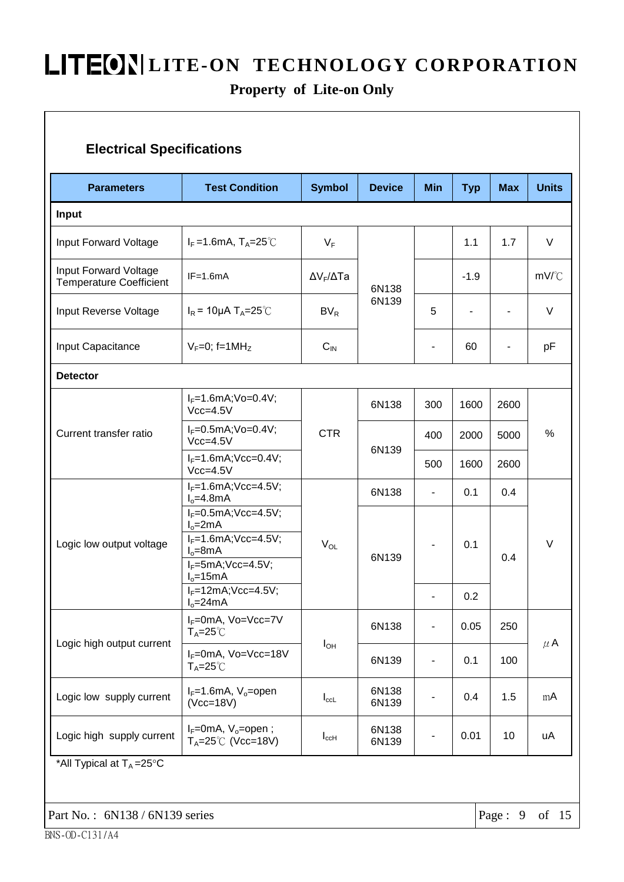### Property of Lite-on Only

| <b>Parameters</b>                                       | <b>Test Condition</b>                                                                                                                       | <b>Symbol</b>             | <b>Device</b>  | <b>Min</b>                   | <b>Typ</b>     | <b>Max</b>           | <b>Units</b> |         |
|---------------------------------------------------------|---------------------------------------------------------------------------------------------------------------------------------------------|---------------------------|----------------|------------------------------|----------------|----------------------|--------------|---------|
| Input                                                   |                                                                                                                                             |                           |                |                              |                |                      |              |         |
| Input Forward Voltage                                   | $I_F = 1.6$ mA, T <sub>A</sub> =25 <sup>°</sup> C                                                                                           | $V_F$                     | 6N138<br>6N139 |                              | 1.1            | 1.7                  | $\vee$       |         |
| Input Forward Voltage<br><b>Temperature Coefficient</b> | $IF=1.6mA$                                                                                                                                  | $\Delta V_F / \Delta T a$ |                |                              | $-1.9$         |                      | mV/°C        |         |
| Input Reverse Voltage                                   | $I_R$ = 10µA T <sub>A</sub> =25°C                                                                                                           | $BV_R$                    |                | 5                            |                |                      | V            |         |
| Input Capacitance                                       | $V_F=0$ ; f=1MH <sub>z</sub>                                                                                                                | $C_{\text{IN}}$           |                | ٠                            | 60             | ۰                    | рF           |         |
| <b>Detector</b>                                         |                                                                                                                                             |                           |                |                              |                |                      |              |         |
| Current transfer ratio                                  | $I_F = 1.6$ mA; Vo=0.4V;<br>$Vcc=4.5V$                                                                                                      |                           | 6N138          | 300                          | 1600           | 2600<br>5000<br>2600 | $\%$         |         |
|                                                         | $I_F = 0.5mA; Vo = 0.4V;$<br>$Vcc=4.5V$                                                                                                     | <b>CTR</b>                | 6N139          | 400                          | 2000           |                      |              |         |
|                                                         | $I_F = 1.6mA; Vcc = 0.4V;$<br>$Vcc=4.5V$                                                                                                    |                           |                | 500                          | 1600           |                      |              |         |
|                                                         | $I_F = 1.6mA; Vcc = 4.5V;$<br>$Io=4.8mA$                                                                                                    |                           | 6N138          | $\overline{\phantom{a}}$     | 0.1            | 0.4                  |              |         |
| Logic low output voltage                                | $I_F = 0.5mA; Vcc = 4.5V;$<br>$I_0 = 2mA$<br>$I_F = 1.6mA; Vcc = 4.5V;$<br>$V_{OL}$<br>$I_0 = 8mA$<br>$I_F = 5mA; Vcc = 4.5V;$<br>$Io=15mA$ | 6N139                     |                | 0.1                          | 0.4            | V                    |              |         |
|                                                         | $I_F = 12mA; Vcc = 4.5V;$<br>$I_0 = 24mA$                                                                                                   |                           | $\blacksquare$ | 0.2                          |                |                      |              |         |
|                                                         | I <sub>F</sub> =0mA, Vo=Vcc=7V<br>$T_A = 25^\circ \text{C}$                                                                                 |                           | 6N138          | $\overline{\phantom{a}}$     | 0.05           | 250                  |              |         |
| Logic high output current                               | $I_F=0$ mA, Vo=Vcc=18V<br>$T_A = 25^\circ \text{C}$                                                                                         | $I_{OH}$                  |                | 6N139                        | $\blacksquare$ | 0.1                  | 100          | $\mu$ A |
| Logic low supply current                                | $I_F=1.6$ mA, $V_o$ =open<br>$(Vcc=18V)$                                                                                                    | $I_{\rm ccl}$             | 6N138<br>6N139 | ٠                            | 0.4            | 1.5                  | mA           |         |
| Logic high supply current                               | $I_F=0$ mA, $V_o=$ open;<br>$T_A = 25^{\circ}$ (Vcc=18V)                                                                                    | $I_{c c H}$               | 6N138<br>6N139 | $\qquad \qquad \blacksquare$ | 0.01           | 10                   | uA           |         |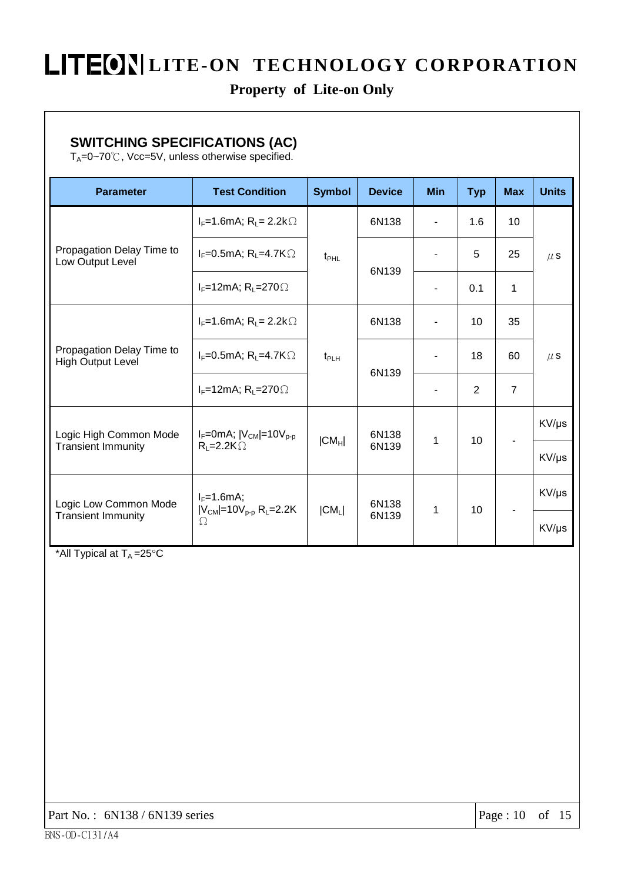### Property of Lite-on Only

### **SWITCHING SPECIFICATIONS (AC)**

 $T_A = 0 - 70^\circ\text{C}$ , Vcc=5V, unless otherwise specified.

| <b>Parameter</b>                                      | <b>Test Condition</b>                              | <b>Symbol</b>    | <b>Device</b>  | <b>Min</b> | <b>Typ</b> | <b>Max</b>     | <b>Units</b> |    |
|-------------------------------------------------------|----------------------------------------------------|------------------|----------------|------------|------------|----------------|--------------|----|
| Propagation Delay Time to<br>Low Output Level         | $I_F = 1.6$ mA; R <sub>L</sub> = 2.2k $\Omega$     | $t_{\text{PHL}}$ |                | 6N138      |            | 1.6            | 10           |    |
|                                                       | $I_F=0.5mA; R_L=4.7K\Omega$                        |                  |                |            | 6N139      |                | 5            | 25 |
|                                                       | $I_F=12mA; R_L=270 \Omega$                         |                  |                |            | 0.1        | 1              |              |    |
| Propagation Delay Time to<br><b>High Output Level</b> | $I_F = 1.6$ mA; R <sub>L</sub> = 2.2k $\Omega$     | $t_{PLH}$        | 6N138          |            | 10         | 35             |              |    |
|                                                       | $I_F=0.5mA; R_L=4.7K\Omega$                        |                  |                | ۰          | 18         | 60             | $\mu$ S      |    |
|                                                       | $I_F=12mA; R_L=270 \Omega$                         |                  | 6N139          |            | 2          | $\overline{7}$ |              |    |
| Logic High Common Mode<br><b>Transient Immunity</b>   | $I_F = 0$ mA; $ V_{CM}  = 10V_{p-p}$               | $ CM_H $         | 6N138<br>6N139 | 1          | 10         |                | KV/µs        |    |
|                                                       | $R_L = 2.2K\Omega$                                 |                  |                |            |            |                | KV/µs        |    |
| Logic Low Common Mode<br><b>Transient Immunity</b>    | $I_F=1.6mA;$                                       |                  | 6N138          |            |            |                | KV/µs        |    |
|                                                       | $ V_{CM} $ =10 $V_{p-p}$ R <sub>L</sub> =2.2K<br>Ω | $ CM_L $         | 6N139          | 1          | 10         |                | KV/µs        |    |

\*All Typical at  $T_A = 25^{\circ}C$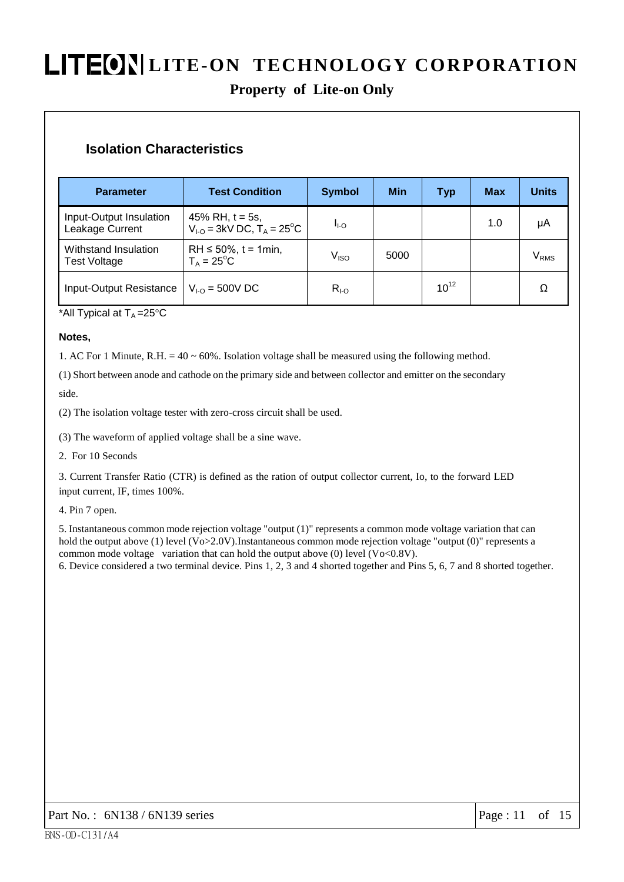### **Property of Lite-on Only**

#### **Isolation Characteristics**

| <b>Parameter</b>                            | <b>Test Condition</b>                                               | <b>Symbol</b>      | Min  | Typ       | <b>Max</b> | <b>Units</b>  |
|---------------------------------------------|---------------------------------------------------------------------|--------------------|------|-----------|------------|---------------|
| Input-Output Insulation<br>Leakage Current  | 45% RH, $t = 5s$ ,<br>$V_{1-O}$ = 3kV DC, $T_A$ = 25 <sup>°</sup> C | I <sub>I-O</sub>   |      |           | 1.0        | μA            |
| Withstand Insulation<br><b>Test Voltage</b> | RH $\leq 50\%$ , t = 1min,<br>$T_A = 25^{\circ}C$                   | $V_{\mathsf{ISO}}$ | 5000 |           |            | $\rm V_{RMS}$ |
| Input-Output Resistance                     | $V_{1-O} = 500V$ DC                                                 | $R_{I-O}$          |      | $10^{12}$ |            | Ω             |

\*All Typical at  $T_A = 25$ °C

#### Notes,

1. AC For 1 Minute, R.H. =  $40 \sim 60\%$ . Isolation voltage shall be measured using the following method.

(1) Short between anode and cathode on the primary side and between collector and emitter on the secondary

side.

(2) The isolation voltage tester with zero-cross circuit shall be used.

(3) The waveform of applied voltage shall be a sine wave.

2. For 10 Seconds

3. Current Transfer Ratio (CTR) is defined as the ration of output collector current, Io, to the forward LED input current, IF, times 100%.

4. Pin 7 open.

5. Instantaneous common mode rejection voltage "output (1)" represents a common mode voltage variation that can hold the output above (1) level ( $V_0 > 2.0V$ ). Instantaneous common mode rejection voltage "output (0)" represents a common mode voltage variation that can hold the output above  $(0)$  level  $(Vo<0.8V)$ .

6. Device considered a two terminal device. Pins 1, 2, 3 and 4 shorted together and Pins 5, 6, 7 and 8 shorted together.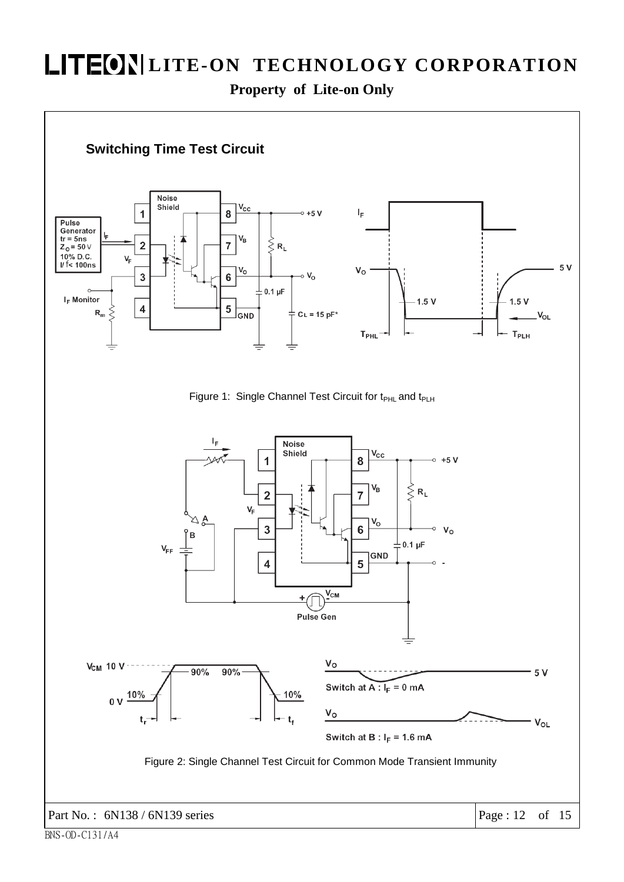**Property of Lite-on Only** 

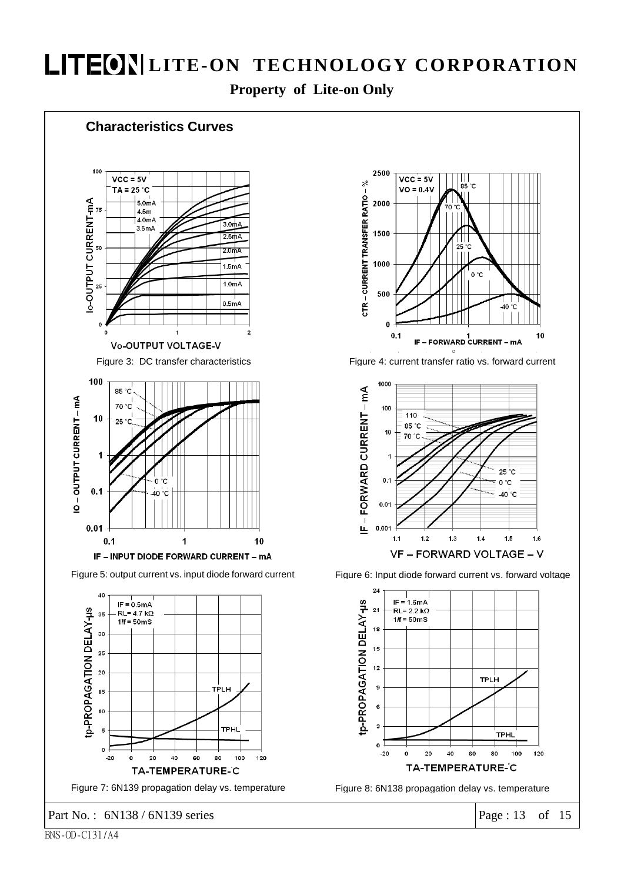**Property of Lite-on Only** 

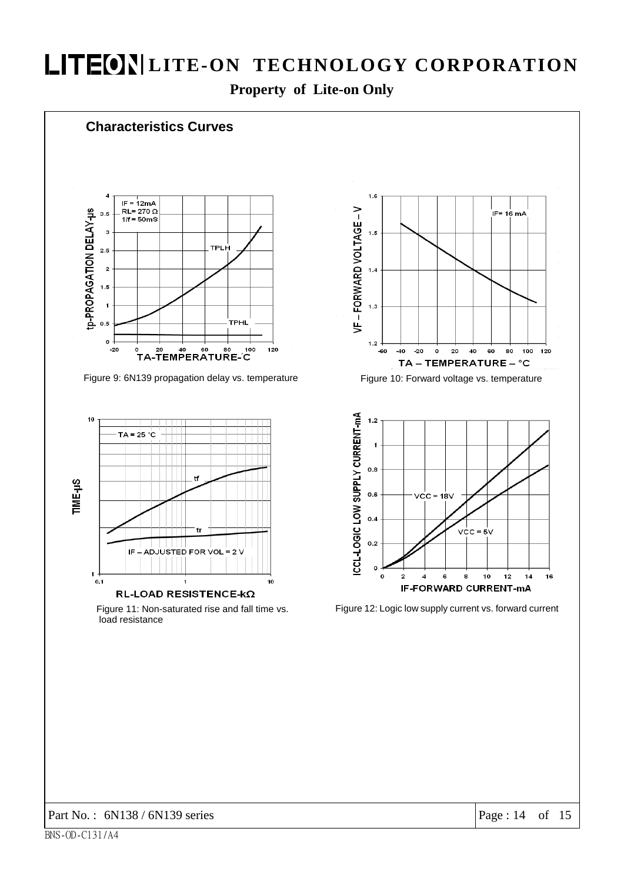Property of Lite-on Only